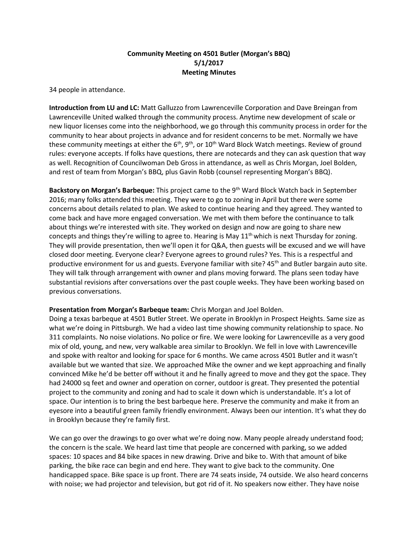## **Community Meeting on 4501 Butler (Morgan's BBQ) 5/1/2017 Meeting Minutes**

34 people in attendance.

**Introduction from LU and LC:** Matt Galluzzo from Lawrenceville Corporation and Dave Breingan from Lawrenceville United walked through the community process. Anytime new development of scale or new liquor licenses come into the neighborhood, we go through this community process in order for the community to hear about projects in advance and for resident concerns to be met. Normally we have these community meetings at either the  $6<sup>th</sup>$ ,  $9<sup>th</sup>$ , or 10<sup>th</sup> Ward Block Watch meetings. Review of ground rules: everyone accepts. If folks have questions, there are notecards and they can ask question that way as well. Recognition of Councilwoman Deb Gross in attendance, as well as Chris Morgan, Joel Bolden, and rest of team from Morgan's BBQ, plus Gavin Robb (counsel representing Morgan's BBQ).

**Backstory on Morgan's Barbeque:** This project came to the 9th Ward Block Watch back in September 2016; many folks attended this meeting. They were to go to zoning in April but there were some concerns about details related to plan. We asked to continue hearing and they agreed. They wanted to come back and have more engaged conversation. We met with them before the continuance to talk about things we're interested with site. They worked on design and now are going to share new concepts and things they're willing to agree to. Hearing is May 11<sup>th</sup> which is next Thursday for zoning. They will provide presentation, then we'll open it for Q&A, then guests will be excused and we will have closed door meeting. Everyone clear? Everyone agrees to ground rules? Yes. This is a respectful and productive environment for us and guests. Everyone familiar with site? 45<sup>th</sup> and Butler bargain auto site. They will talk through arrangement with owner and plans moving forward. The plans seen today have substantial revisions after conversations over the past couple weeks. They have been working based on previous conversations.

## **Presentation from Morgan's Barbeque team:** Chris Morgan and Joel Bolden.

Doing a texas barbeque at 4501 Butler Street. We operate in Brooklyn in Prospect Heights. Same size as what we're doing in Pittsburgh. We had a video last time showing community relationship to space. No 311 complaints. No noise violations. No police or fire. We were looking for Lawrenceville as a very good mix of old, young, and new, very walkable area similar to Brooklyn. We fell in love with Lawrenceville and spoke with realtor and looking for space for 6 months. We came across 4501 Butler and it wasn't available but we wanted that size. We approached Mike the owner and we kept approaching and finally convinced Mike he'd be better off without it and he finally agreed to move and they got the space. They had 24000 sq feet and owner and operation on corner, outdoor is great. They presented the potential project to the community and zoning and had to scale it down which is understandable. It's a lot of space. Our intention is to bring the best barbeque here. Preserve the community and make it from an eyesore into a beautiful green family friendly environment. Always been our intention. It's what they do in Brooklyn because they're family first.

We can go over the drawings to go over what we're doing now. Many people already understand food; the concern is the scale. We heard last time that people are concerned with parking, so we added spaces: 10 spaces and 84 bike spaces in new drawing. Drive and bike to. With that amount of bike parking, the bike race can begin and end here. They want to give back to the community. One handicapped space. Bike space is up front. There are 74 seats inside, 74 outside. We also heard concerns with noise; we had projector and television, but got rid of it. No speakers now either. They have noise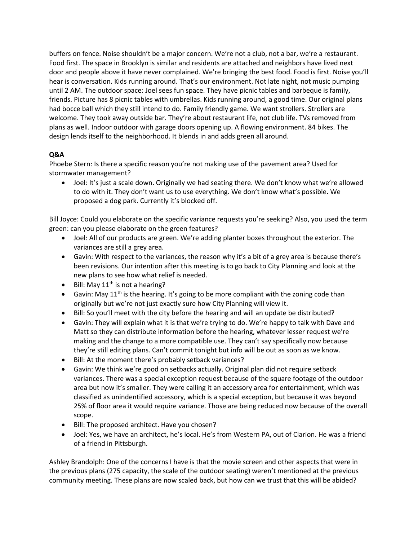buffers on fence. Noise shouldn't be a major concern. We're not a club, not a bar, we're a restaurant. Food first. The space in Brooklyn is similar and residents are attached and neighbors have lived next door and people above it have never complained. We're bringing the best food. Food is first. Noise you'll hear is conversation. Kids running around. That's our environment. Not late night, not music pumping until 2 AM. The outdoor space: Joel sees fun space. They have picnic tables and barbeque is family, friends. Picture has 8 picnic tables with umbrellas. Kids running around, a good time. Our original plans had bocce ball which they still intend to do. Family friendly game. We want strollers. Strollers are welcome. They took away outside bar. They're about restaurant life, not club life. TVs removed from plans as well. Indoor outdoor with garage doors opening up. A flowing environment. 84 bikes. The design lends itself to the neighborhood. It blends in and adds green all around.

## **Q&A**

Phoebe Stern: Is there a specific reason you're not making use of the pavement area? Used for stormwater management?

 Joel: It's just a scale down. Originally we had seating there. We don't know what we're allowed to do with it. They don't want us to use everything. We don't know what's possible. We proposed a dog park. Currently it's blocked off.

Bill Joyce: Could you elaborate on the specific variance requests you're seeking? Also, you used the term green: can you please elaborate on the green features?

- Joel: All of our products are green. We're adding planter boxes throughout the exterior. The variances are still a grey area.
- Gavin: With respect to the variances, the reason why it's a bit of a grey area is because there's been revisions. Our intention after this meeting is to go back to City Planning and look at the new plans to see how what relief is needed.
- $\bullet$  Bill: May 11<sup>th</sup> is not a hearing?
- Gavin: May  $11<sup>th</sup>$  is the hearing. It's going to be more compliant with the zoning code than originally but we're not just exactly sure how City Planning will view it.
- Bill: So you'll meet with the city before the hearing and will an update be distributed?
- Gavin: They will explain what it is that we're trying to do. We're happy to talk with Dave and Matt so they can distribute information before the hearing, whatever lesser request we're making and the change to a more compatible use. They can't say specifically now because they're still editing plans. Can't commit tonight but info will be out as soon as we know.
- Bill: At the moment there's probably setback variances?
- Gavin: We think we're good on setbacks actually. Original plan did not require setback variances. There was a special exception request because of the square footage of the outdoor area but now it's smaller. They were calling it an accessory area for entertainment, which was classified as unindentified accessory, which is a special exception, but because it was beyond 25% of floor area it would require variance. Those are being reduced now because of the overall scope.
- Bill: The proposed architect. Have you chosen?
- Joel: Yes, we have an architect, he's local. He's from Western PA, out of Clarion. He was a friend of a friend in Pittsburgh.

Ashley Brandolph: One of the concerns I have is that the movie screen and other aspects that were in the previous plans (275 capacity, the scale of the outdoor seating) weren't mentioned at the previous community meeting. These plans are now scaled back, but how can we trust that this will be abided?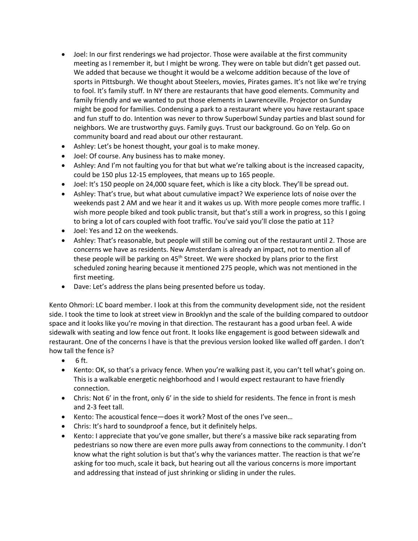- Joel: In our first renderings we had projector. Those were available at the first community meeting as I remember it, but I might be wrong. They were on table but didn't get passed out. We added that because we thought it would be a welcome addition because of the love of sports in Pittsburgh. We thought about Steelers, movies, Pirates games. It's not like we're trying to fool. It's family stuff. In NY there are restaurants that have good elements. Community and family friendly and we wanted to put those elements in Lawrenceville. Projector on Sunday might be good for families. Condensing a park to a restaurant where you have restaurant space and fun stuff to do. Intention was never to throw Superbowl Sunday parties and blast sound for neighbors. We are trustworthy guys. Family guys. Trust our background. Go on Yelp. Go on community board and read about our other restaurant.
- Ashley: Let's be honest thought, your goal is to make money.
- Joel: Of course. Any business has to make money.
- Ashley: And I'm not faulting you for that but what we're talking about is the increased capacity, could be 150 plus 12-15 employees, that means up to 165 people.
- Joel: It's 150 people on 24,000 square feet, which is like a city block. They'll be spread out.
- Ashley: That's true, but what about cumulative impact? We experience lots of noise over the weekends past 2 AM and we hear it and it wakes us up. With more people comes more traffic. I wish more people biked and took public transit, but that's still a work in progress, so this I going to bring a lot of cars coupled with foot traffic. You've said you'll close the patio at 11?
- Joel: Yes and 12 on the weekends.
- Ashley: That's reasonable, but people will still be coming out of the restaurant until 2. Those are concerns we have as residents. New Amsterdam is already an impact, not to mention all of these people will be parking on 45<sup>th</sup> Street. We were shocked by plans prior to the first scheduled zoning hearing because it mentioned 275 people, which was not mentioned in the first meeting.
- Dave: Let's address the plans being presented before us today.

Kento Ohmori: LC board member. I look at this from the community development side, not the resident side. I took the time to look at street view in Brooklyn and the scale of the building compared to outdoor space and it looks like you're moving in that direction. The restaurant has a good urban feel. A wide sidewalk with seating and low fence out front. It looks like engagement is good between sidewalk and restaurant. One of the concerns I have is that the previous version looked like walled off garden. I don't how tall the fence is?

- 6 ft.
- Kento: OK, so that's a privacy fence. When you're walking past it, you can't tell what's going on. This is a walkable energetic neighborhood and I would expect restaurant to have friendly connection.
- Chris: Not 6' in the front, only 6' in the side to shield for residents. The fence in front is mesh and 2-3 feet tall.
- Kento: The acoustical fence-does it work? Most of the ones I've seen...
- Chris: It's hard to soundproof a fence, but it definitely helps.
- Kento: I appreciate that you've gone smaller, but there's a massive bike rack separating from pedestrians so now there are even more pulls away from connections to the community. I don't know what the right solution is but that's why the variances matter. The reaction is that we're asking for too much, scale it back, but hearing out all the various concerns is more important and addressing that instead of just shrinking or sliding in under the rules.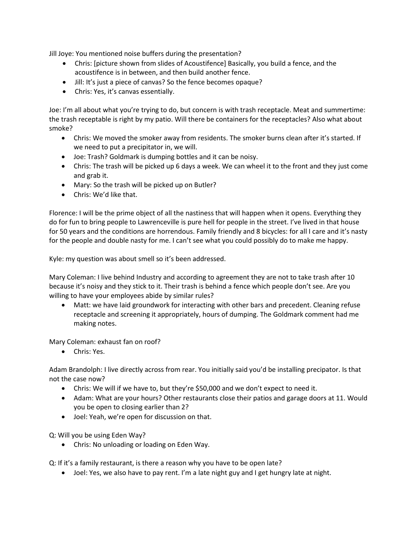Jill Joye: You mentioned noise buffers during the presentation?

- Chris: [picture shown from slides of Acoustifence] Basically, you build a fence, and the acoustifence is in between, and then build another fence.
- Jill: It's just a piece of canvas? So the fence becomes opaque?
- Chris: Yes, it's canvas essentially.

Joe: I'm all about what you're trying to do, but concern is with trash receptacle. Meat and summertime: the trash receptable is right by my patio. Will there be containers for the receptacles? Also what about smoke?

- Chris: We moved the smoker away from residents. The smoker burns clean after it's started. If we need to put a precipitator in, we will.
- Joe: Trash? Goldmark is dumping bottles and it can be noisy.
- Chris: The trash will be picked up 6 days a week. We can wheel it to the front and they just come and grab it.
- Mary: So the trash will be picked up on Butler?
- Chris: We'd like that.

Florence: I will be the prime object of all the nastiness that will happen when it opens. Everything they do for fun to bring people to Lawrenceville is pure hell for people in the street. I've lived in that house for 50 years and the conditions are horrendous. Family friendly and 8 bicycles: for all I care and it's nasty for the people and double nasty for me. I can't see what you could possibly do to make me happy.

Kyle: my question was about smell so it's been addressed.

Mary Coleman: I live behind Industry and according to agreement they are not to take trash after 10 because it's noisy and they stick to it. Their trash is behind a fence which people don't see. Are you willing to have your employees abide by similar rules?

 Matt: we have laid groundwork for interacting with other bars and precedent. Cleaning refuse receptacle and screening it appropriately, hours of dumping. The Goldmark comment had me making notes.

Mary Coleman: exhaust fan on roof?

• Chris: Yes.

Adam Brandolph: I live directly across from rear. You initially said you'd be installing precipator. Is that not the case now?

- Chris: We will if we have to, but they're \$50,000 and we don't expect to need it.
- Adam: What are your hours? Other restaurants close their patios and garage doors at 11. Would you be open to closing earlier than 2?
- Joel: Yeah, we're open for discussion on that.

Q: Will you be using Eden Way?

Chris: No unloading or loading on Eden Way.

Q: If it's a family restaurant, is there a reason why you have to be open late?

Joel: Yes, we also have to pay rent. I'm a late night guy and I get hungry late at night.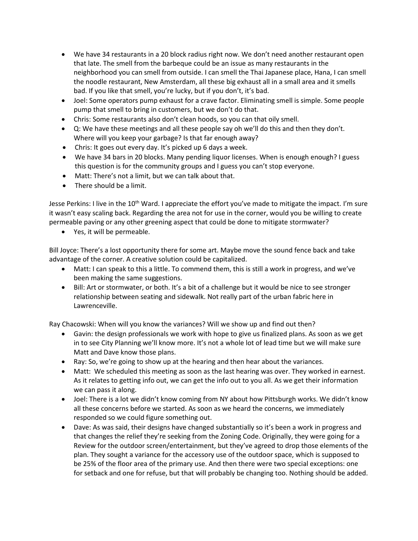- We have 34 restaurants in a 20 block radius right now. We don't need another restaurant open that late. The smell from the barbeque could be an issue as many restaurants in the neighborhood you can smell from outside. I can smell the Thai Japanese place, Hana, I can smell the noodle restaurant, New Amsterdam, all these big exhaust all in a small area and it smells bad. If you like that smell, you're lucky, but if you don't, it's bad.
- Joel: Some operators pump exhaust for a crave factor. Eliminating smell is simple. Some people pump that smell to bring in customers, but we don't do that.
- Chris: Some restaurants also don't clean hoods, so you can that oily smell.
- Q: We have these meetings and all these people say oh we'll do this and then they don't. Where will you keep your garbage? Is that far enough away?
- Chris: It goes out every day. It's picked up 6 days a week.
- We have 34 bars in 20 blocks. Many pending liquor licenses. When is enough enough? I guess this question is for the community groups and I guess you can't stop everyone.
- Matt: There's not a limit, but we can talk about that.
- There should be a limit.

Jesse Perkins: I live in the 10<sup>th</sup> Ward. I appreciate the effort you've made to mitigate the impact. I'm sure it wasn't easy scaling back. Regarding the area not for use in the corner, would you be willing to create permeable paving or any other greening aspect that could be done to mitigate stormwater?

Yes, it will be permeable.

Bill Joyce: There's a lost opportunity there for some art. Maybe move the sound fence back and take advantage of the corner. A creative solution could be capitalized.

- Matt: I can speak to this a little. To commend them, this is still a work in progress, and we've been making the same suggestions.
- Bill: Art or stormwater, or both. It's a bit of a challenge but it would be nice to see stronger relationship between seating and sidewalk. Not really part of the urban fabric here in Lawrenceville.

Ray Chacowski: When will you know the variances? Will we show up and find out then?

- Gavin: the design professionals we work with hope to give us finalized plans. As soon as we get in to see City Planning we'll know more. It's not a whole lot of lead time but we will make sure Matt and Dave know those plans.
- Ray: So, we're going to show up at the hearing and then hear about the variances.
- Matt: We scheduled this meeting as soon as the last hearing was over. They worked in earnest. As it relates to getting info out, we can get the info out to you all. As we get their information we can pass it along.
- Joel: There is a lot we didn't know coming from NY about how Pittsburgh works. We didn't know all these concerns before we started. As soon as we heard the concerns, we immediately responded so we could figure something out.
- Dave: As was said, their designs have changed substantially so it's been a work in progress and that changes the relief they're seeking from the Zoning Code. Originally, they were going for a Review for the outdoor screen/entertainment, but they've agreed to drop those elements of the plan. They sought a variance for the accessory use of the outdoor space, which is supposed to be 25% of the floor area of the primary use. And then there were two special exceptions: one for setback and one for refuse, but that will probably be changing too. Nothing should be added.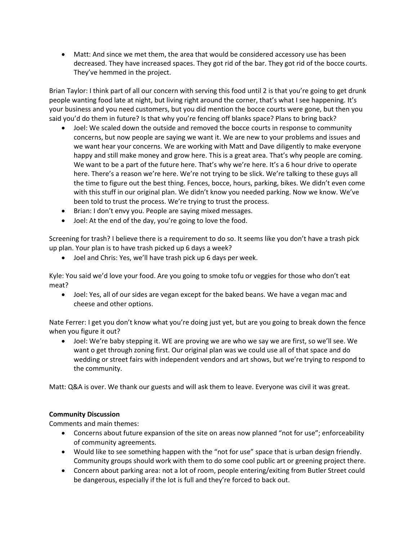Matt: And since we met them, the area that would be considered accessory use has been decreased. They have increased spaces. They got rid of the bar. They got rid of the bocce courts. They've hemmed in the project.

Brian Taylor: I think part of all our concern with serving this food until 2 is that you're going to get drunk people wanting food late at night, but living right around the corner, that's what I see happening. It's your business and you need customers, but you did mention the bocce courts were gone, but then you said you'd do them in future? Is that why you're fencing off blanks space? Plans to bring back?

- Joel: We scaled down the outside and removed the bocce courts in response to community concerns, but now people are saying we want it. We are new to your problems and issues and we want hear your concerns. We are working with Matt and Dave diligently to make everyone happy and still make money and grow here. This is a great area. That's why people are coming. We want to be a part of the future here. That's why we're here. It's a 6 hour drive to operate here. There's a reason we're here. We're not trying to be slick. We're talking to these guys all the time to figure out the best thing. Fences, bocce, hours, parking, bikes. We didn't even come with this stuff in our original plan. We didn't know you needed parking. Now we know. We've been told to trust the process. We're trying to trust the process.
- Brian: I don't envy you. People are saying mixed messages.
- Joel: At the end of the day, you're going to love the food.

Screening for trash? I believe there is a requirement to do so. It seems like you don't have a trash pick up plan. Your plan is to have trash picked up 6 days a week?

Joel and Chris: Yes, we'll have trash pick up 6 days per week.

Kyle: You said we'd love your food. Are you going to smoke tofu or veggies for those who don't eat meat?

 Joel: Yes, all of our sides are vegan except for the baked beans. We have a vegan mac and cheese and other options.

Nate Ferrer: I get you don't know what you're doing just yet, but are you going to break down the fence when you figure it out?

 Joel: We're baby stepping it. WE are proving we are who we say we are first, so we'll see. We want o get through zoning first. Our original plan was we could use all of that space and do wedding or street fairs with independent vendors and art shows, but we're trying to respond to the community.

Matt: Q&A is over. We thank our guests and will ask them to leave. Everyone was civil it was great.

## **Community Discussion**

Comments and main themes:

- Concerns about future expansion of the site on areas now planned "not for use"; enforceability of community agreements.
- Would like to see something happen with the "not for use" space that is urban design friendly. Community groups should work with them to do some cool public art or greening project there.
- Concern about parking area: not a lot of room, people entering/exiting from Butler Street could be dangerous, especially if the lot is full and they're forced to back out.